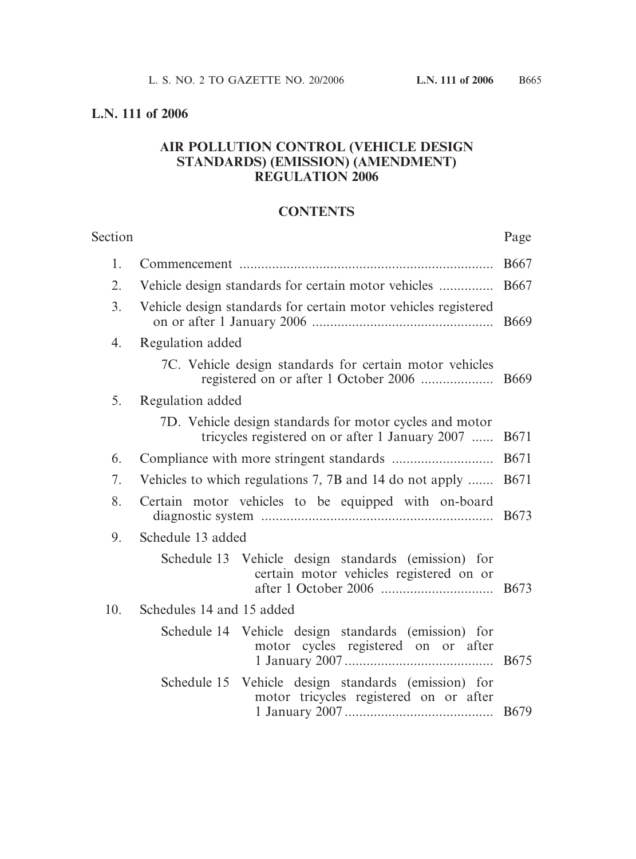# **L.N. 111 of 2006**

# **AIR POLLUTION CONTROL (VEHICLE DESIGN STANDARDS) (EMISSION) (AMENDMENT) REGULATION 2006**

### **CONTENTS**

| Section |                                                                                                            | Page        |
|---------|------------------------------------------------------------------------------------------------------------|-------------|
| 1.      |                                                                                                            | <b>B667</b> |
| 2.      |                                                                                                            | <b>B667</b> |
| 3.      | Vehicle design standards for certain motor vehicles registered                                             | <b>B669</b> |
| 4.      | Regulation added                                                                                           |             |
|         | 7C. Vehicle design standards for certain motor vehicles                                                    | <b>B669</b> |
| 5.      | Regulation added                                                                                           |             |
|         | 7D. Vehicle design standards for motor cycles and motor<br>tricycles registered on or after 1 January 2007 | <b>B671</b> |
| 6.      |                                                                                                            | <b>B671</b> |
| 7.      | Vehicles to which regulations 7, 7B and 14 do not apply                                                    | <b>B671</b> |
| 8.      | Certain motor vehicles to be equipped with on-board                                                        | <b>B673</b> |
| 9.      | Schedule 13 added                                                                                          |             |
|         | Schedule 13 Vehicle design standards (emission) for<br>certain motor vehicles registered on or             |             |
| 10.     | Schedules 14 and 15 added                                                                                  |             |
|         | Schedule 14 Vehicle design standards (emission) for<br>motor cycles registered on or after                 | <b>B675</b> |
|         | Schedule 15 Vehicle design standards (emission) for<br>motor tricycles registered on or after              |             |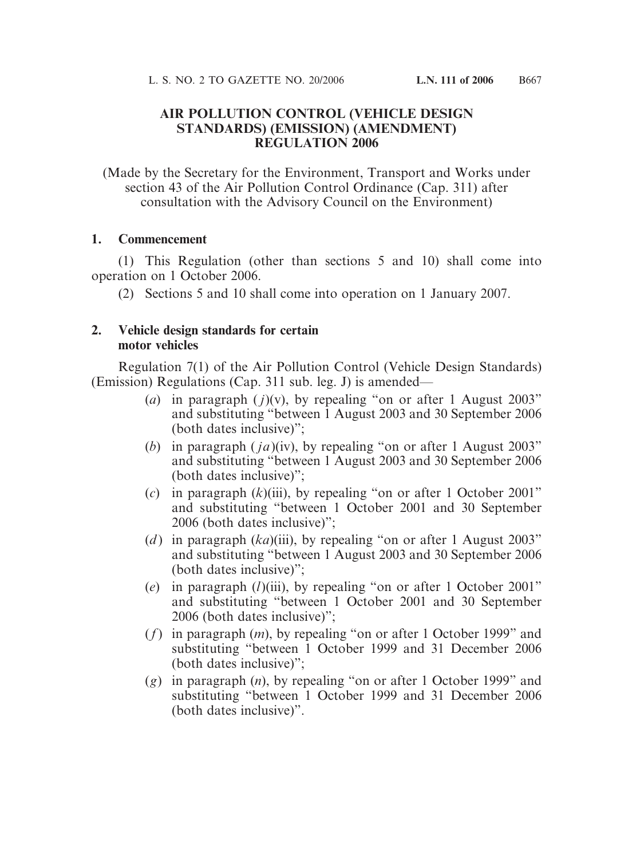#### **AIR POLLUTION CONTROL (VEHICLE DESIGN STANDARDS) (EMISSION) (AMENDMENT) REGULATION 2006**

(Made by the Secretary for the Environment, Transport and Works under section 43 of the Air Pollution Control Ordinance (Cap. 311) after consultation with the Advisory Council on the Environment)

#### **1. Commencement**

(1) This Regulation (other than sections 5 and 10) shall come into operation on 1 October 2006.

(2) Sections 5 and 10 shall come into operation on 1 January 2007.

#### **2. Vehicle design standards for certain motor vehicles**

Regulation 7(1) of the Air Pollution Control (Vehicle Design Standards) (Emission) Regulations (Cap. 311 sub. leg. J) is amended—

- (*a*) in paragraph  $(j)(v)$ , by repealing "on or after 1 August 2003" and substituting "between 1 August 2003 and 30 September 2006 (both dates inclusive)";
- (*b*) in paragraph ( *ja*)(iv), by repealing "on or after 1 August 2003" and substituting "between 1 August 2003 and 30 September 2006 (both dates inclusive)";
- (*c*) in paragraph (*k*)(iii), by repealing "on or after 1 October 2001" and substituting "between 1 October 2001 and 30 September 2006 (both dates inclusive)";
- (*d*) in paragraph (*ka*)(iii), by repealing "on or after 1 August 2003" and substituting "between 1 August 2003 and 30 September 2006 (both dates inclusive)";
- (*e*) in paragraph (*l*)(iii), by repealing "on or after 1 October 2001" and substituting "between 1 October 2001 and 30 September 2006 (both dates inclusive)";
- (*f*) in paragraph (*m*), by repealing "on or after 1 October 1999" and substituting "between 1 October 1999 and 31 December 2006 (both dates inclusive)";
- (*g*) in paragraph (*n*), by repealing "on or after 1 October 1999" and substituting "between 1 October 1999 and 31 December 2006 (both dates inclusive)".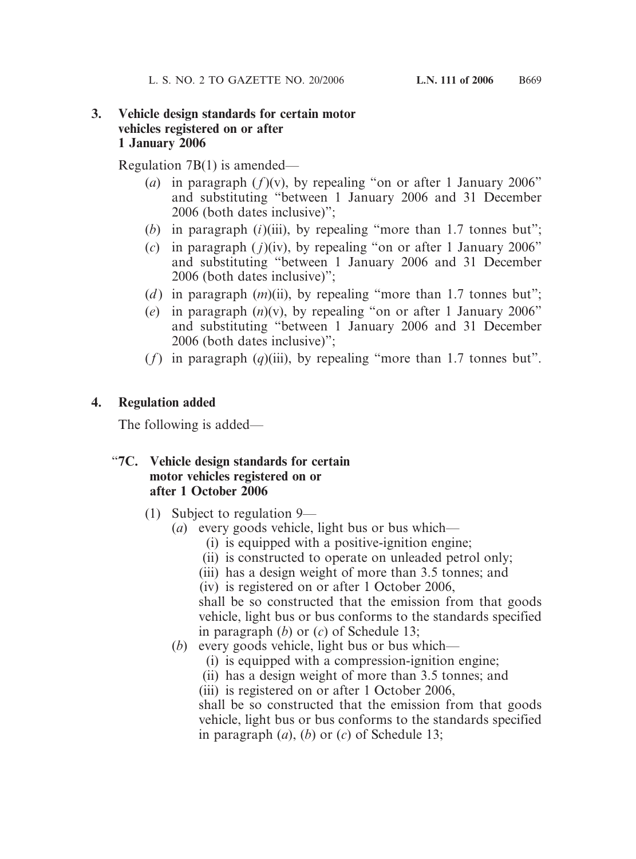## **3. Vehicle design standards for certain motor vehicles registered on or after 1 January 2006**

Regulation 7B(1) is amended—

- (*a*) in paragraph  $(f)(v)$ , by repealing "on or after 1 January 2006" and substituting "between 1 January 2006 and 31 December 2006 (both dates inclusive)";
- (*b*) in paragraph (*i*)(iii), by repealing "more than 1.7 tonnes but";
- (*c*) in paragraph  $(j)(iv)$ , by repealing "on or after 1 January 2006" and substituting "between 1 January 2006 and 31 December 2006 (both dates inclusive)";
- (*d*) in paragraph (*m*)(ii), by repealing "more than 1.7 tonnes but";
- (*e*) in paragraph (*n*)(v), by repealing "on or after 1 January 2006" and substituting "between 1 January 2006 and 31 December 2006 (both dates inclusive)";
- $(f)$  in paragraph  $(q)$ (iii), by repealing "more than 1.7 tonnes but".

# **4. Regulation added**

The following is added—

# "**7C. Vehicle design standards for certain motor vehicles registered on or after 1 October 2006**

- (1) Subject to regulation 9—
	- (*a*) every goods vehicle, light bus or bus which—
		- (i) is equipped with a positive-ignition engine;
		- (ii) is constructed to operate on unleaded petrol only;
		- (iii) has a design weight of more than 3.5 tonnes; and

(iv) is registered on or after 1 October 2006,

shall be so constructed that the emission from that goods vehicle, light bus or bus conforms to the standards specified in paragraph (*b*) or (*c*) of Schedule 13;

- (*b*) every goods vehicle, light bus or bus which—
	- (i) is equipped with a compression-ignition engine;
	- (ii) has a design weight of more than 3.5 tonnes; and
	- (iii) is registered on or after 1 October 2006,

shall be so constructed that the emission from that goods vehicle, light bus or bus conforms to the standards specified in paragraph (*a*), (*b*) or (*c*) of Schedule 13;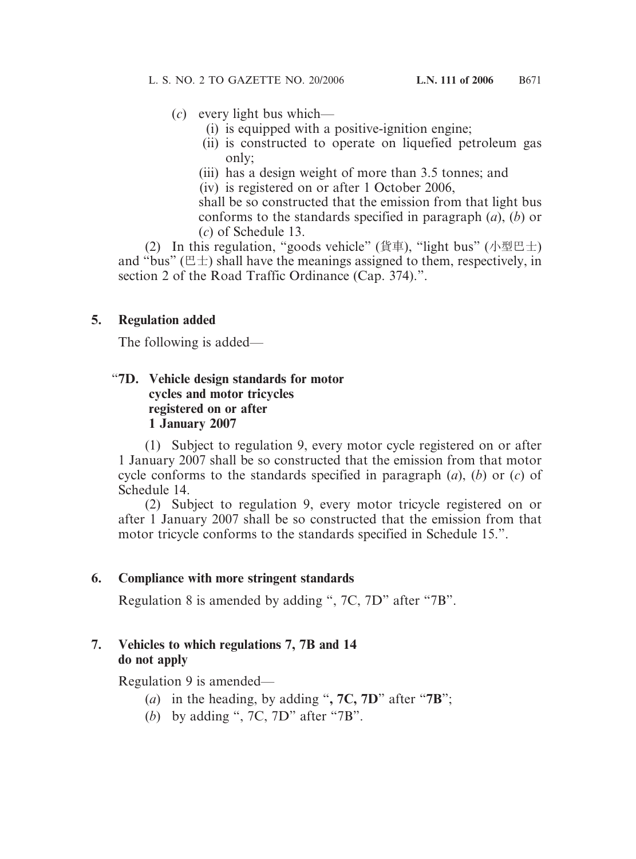- (*c*) every light bus which—
	- (i) is equipped with a positive-ignition engine;
	- (ii) is constructed to operate on liquefied petroleum gas only;
	- (iii) has a design weight of more than 3.5 tonnes; and
	- (iv) is registered on or after 1 October 2006,

shall be so constructed that the emission from that light bus conforms to the standards specified in paragraph (*a*), (*b*) or (*c*) of Schedule 13.

(2) In this regulation, "goods vehicle" (貨車), "light bus" (小型巴士) and "bus" ( $E \pm$ ) shall have the meanings assigned to them, respectively, in section 2 of the Road Traffic Ordinance (Cap. 374).".

## **5. Regulation added**

The following is added—

## "**7D. Vehicle design standards for motor cycles and motor tricycles registered on or after 1 January 2007**

(1) Subject to regulation 9, every motor cycle registered on or after 1 January 2007 shall be so constructed that the emission from that motor cycle conforms to the standards specified in paragraph (*a*), (*b*) or (*c*) of Schedule 14.

(2) Subject to regulation 9, every motor tricycle registered on or after 1 January 2007 shall be so constructed that the emission from that motor tricycle conforms to the standards specified in Schedule 15.".

# **6. Compliance with more stringent standards**

Regulation 8 is amended by adding ", 7C, 7D" after "7B".

## **7. Vehicles to which regulations 7, 7B and 14 do not apply**

Regulation 9 is amended—

- (*a*) in the heading, by adding "**, 7C, 7D**" after "**7B**";
- (*b*) by adding ", 7C, 7D" after "7B".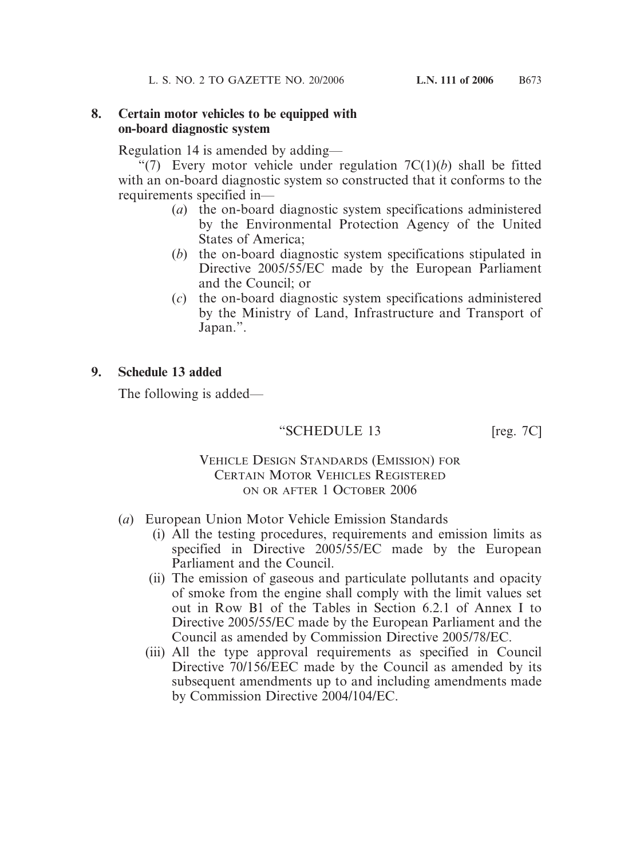#### **8. Certain motor vehicles to be equipped with on-board diagnostic system**

Regulation 14 is amended by adding—

"(7) Every motor vehicle under regulation  $7C(1)(b)$  shall be fitted with an on-board diagnostic system so constructed that it conforms to the requirements specified in—

- (*a*) the on-board diagnostic system specifications administered by the Environmental Protection Agency of the United States of America;
- (*b*) the on-board diagnostic system specifications stipulated in Directive 2005/55/EC made by the European Parliament and the Council; or
- (*c*) the on-board diagnostic system specifications administered by the Ministry of Land, Infrastructure and Transport of Japan.".

## **9. Schedule 13 added**

The following is added—

# "SCHEDULE 13 [reg. 7C]

#### VEHICLE DESIGN STANDARDS (EMISSION) FOR CERTAIN MOTOR VEHICLES REGISTERED ON OR AFTER 1 OCTOBER 2006

- (*a*) European Union Motor Vehicle Emission Standards
	- (i) All the testing procedures, requirements and emission limits as specified in Directive 2005/55/EC made by the European Parliament and the Council.
	- (ii) The emission of gaseous and particulate pollutants and opacity of smoke from the engine shall comply with the limit values set out in Row B1 of the Tables in Section 6.2.1 of Annex I to Directive 2005/55/EC made by the European Parliament and the Council as amended by Commission Directive 2005/78/EC.
	- (iii) All the type approval requirements as specified in Council Directive 70/156/EEC made by the Council as amended by its subsequent amendments up to and including amendments made by Commission Directive 2004/104/EC.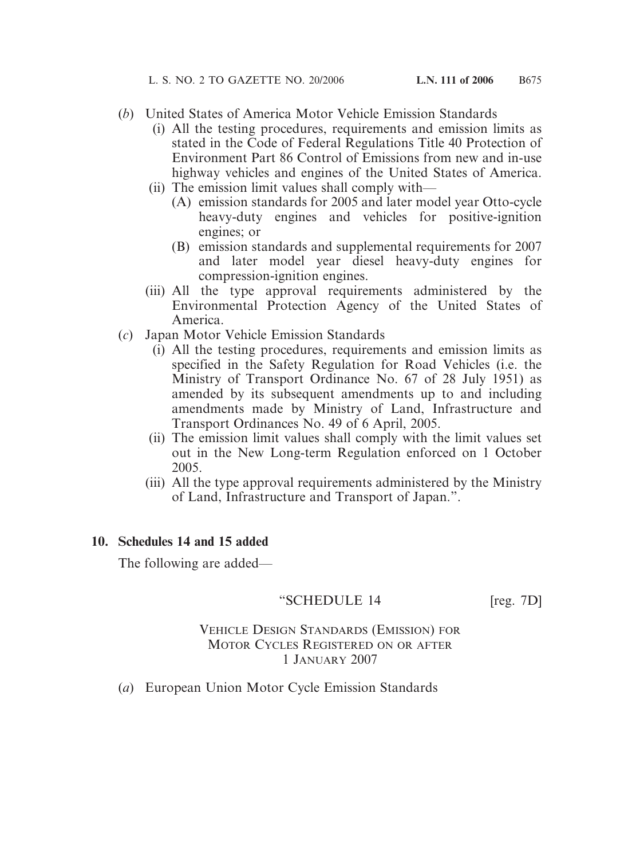- (*b*) United States of America Motor Vehicle Emission Standards
	- (i) All the testing procedures, requirements and emission limits as stated in the Code of Federal Regulations Title 40 Protection of Environment Part 86 Control of Emissions from new and in-use highway vehicles and engines of the United States of America.
	- (ii) The emission limit values shall comply with—
		- (A) emission standards for 2005 and later model year Otto-cycle heavy-duty engines and vehicles for positive-ignition engines; or
		- (B) emission standards and supplemental requirements for 2007 and later model year diesel heavy-duty engines for compression-ignition engines.
	- (iii) All the type approval requirements administered by the Environmental Protection Agency of the United States of America.
- (*c*) Japan Motor Vehicle Emission Standards
	- (i) All the testing procedures, requirements and emission limits as specified in the Safety Regulation for Road Vehicles (i.e. the Ministry of Transport Ordinance No. 67 of 28 July 1951) as amended by its subsequent amendments up to and including amendments made by Ministry of Land, Infrastructure and Transport Ordinances No. 49 of 6 April, 2005.
	- (ii) The emission limit values shall comply with the limit values set out in the New Long-term Regulation enforced on 1 October 2005.
	- (iii) All the type approval requirements administered by the Ministry of Land, Infrastructure and Transport of Japan.".

### **10. Schedules 14 and 15 added**

The following are added—

# "SCHEDULE 14 [reg. 7D]

## VEHICLE DESIGN STANDARDS (EMISSION) FOR MOTOR CYCLES REGISTERED ON OR AFTER 1 JANUARY 2007

(*a*) European Union Motor Cycle Emission Standards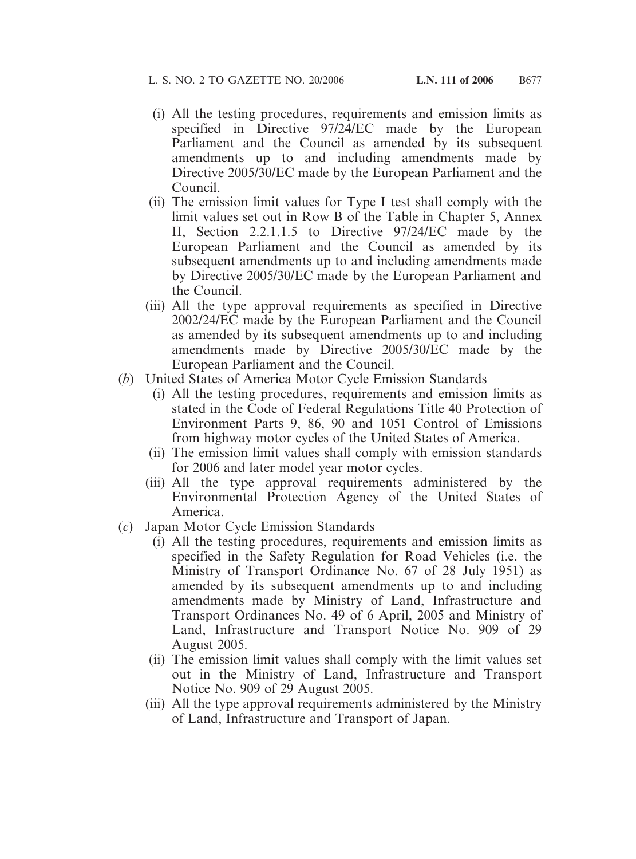- (i) All the testing procedures, requirements and emission limits as specified in Directive 97/24/EC made by the European Parliament and the Council as amended by its subsequent amendments up to and including amendments made by Directive 2005/30/EC made by the European Parliament and the Council.
- (ii) The emission limit values for Type I test shall comply with the limit values set out in Row B of the Table in Chapter 5, Annex II, Section 2.2.1.1.5 to Directive 97/24/EC made by the European Parliament and the Council as amended by its subsequent amendments up to and including amendments made by Directive 2005/30/EC made by the European Parliament and the Council.
- (iii) All the type approval requirements as specified in Directive 2002/24/EC made by the European Parliament and the Council as amended by its subsequent amendments up to and including amendments made by Directive 2005/30/EC made by the European Parliament and the Council.
- (*b*) United States of America Motor Cycle Emission Standards
	- (i) All the testing procedures, requirements and emission limits as stated in the Code of Federal Regulations Title 40 Protection of Environment Parts 9, 86, 90 and 1051 Control of Emissions from highway motor cycles of the United States of America.
	- (ii) The emission limit values shall comply with emission standards for 2006 and later model year motor cycles.
	- (iii) All the type approval requirements administered by the Environmental Protection Agency of the United States of America.
- (*c*) Japan Motor Cycle Emission Standards
	- (i) All the testing procedures, requirements and emission limits as specified in the Safety Regulation for Road Vehicles (i.e. the Ministry of Transport Ordinance No. 67 of 28 July 1951) as amended by its subsequent amendments up to and including amendments made by Ministry of Land, Infrastructure and Transport Ordinances No. 49 of 6 April, 2005 and Ministry of Land, Infrastructure and Transport Notice No. 909 of 29 August 2005.
	- (ii) The emission limit values shall comply with the limit values set out in the Ministry of Land, Infrastructure and Transport Notice No. 909 of 29 August 2005.
	- (iii) All the type approval requirements administered by the Ministry of Land, Infrastructure and Transport of Japan.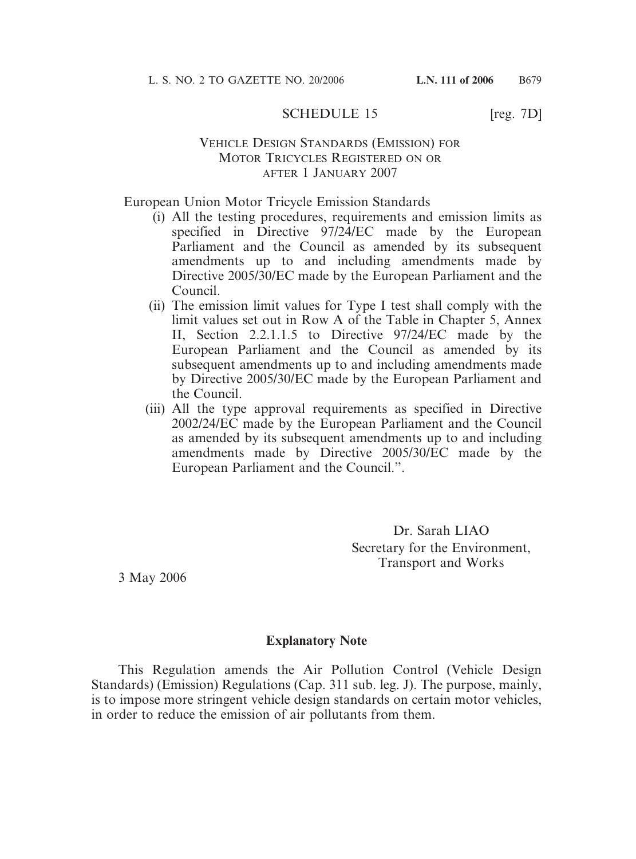### SCHEDULE 15 [reg. 7D]

#### VEHICLE DESIGN STANDARDS (EMISSION) FOR MOTOR TRICYCLES REGISTERED ON OR AFTER 1 JANUARY 2007

European Union Motor Tricycle Emission Standards

- (i) All the testing procedures, requirements and emission limits as specified in Directive 97/24/EC made by the European Parliament and the Council as amended by its subsequent amendments up to and including amendments made by Directive 2005/30/EC made by the European Parliament and the Council.
- (ii) The emission limit values for Type I test shall comply with the limit values set out in Row A of the Table in Chapter 5, Annex II, Section 2.2.1.1.5 to Directive 97/24/EC made by the European Parliament and the Council as amended by its subsequent amendments up to and including amendments made by Directive 2005/30/EC made by the European Parliament and the Council.
- (iii) All the type approval requirements as specified in Directive 2002/24/EC made by the European Parliament and the Council as amended by its subsequent amendments up to and including amendments made by Directive 2005/30/EC made by the European Parliament and the Council.".

Dr. Sarah LIAO Secretary for the Environment, Transport and Works

3 May 2006

#### **Explanatory Note**

This Regulation amends the Air Pollution Control (Vehicle Design Standards) (Emission) Regulations (Cap. 311 sub. leg. J). The purpose, mainly, is to impose more stringent vehicle design standards on certain motor vehicles, in order to reduce the emission of air pollutants from them.